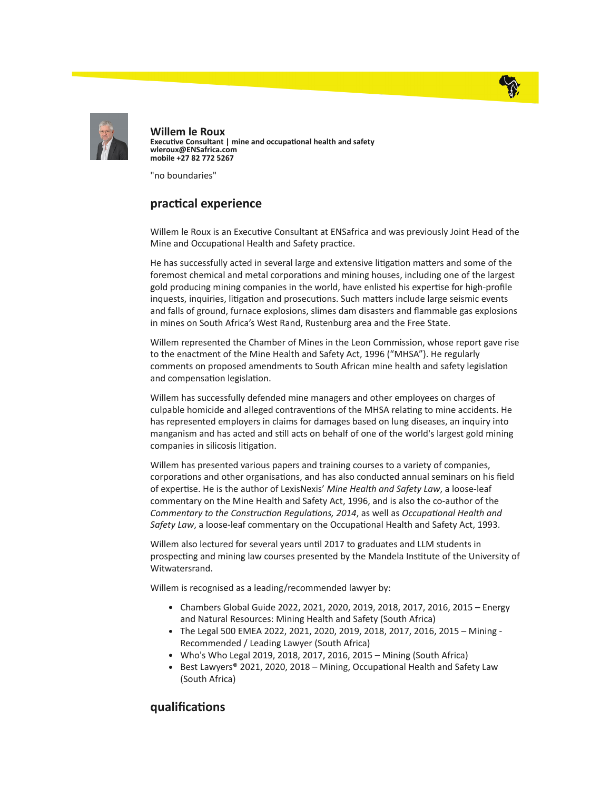



Willem le Roux Executive Consultant | mine and occupational health and safety wleroux@ENSafrica.com mobile +27 82 772 5267

"no boundaries"

## practical experience

Willem le Roux is an Executive Consultant at ENSafrica and was previously Joint Head of the Mine and Occupational Health and Safety practice.

He has successfully acted in several large and extensive litigation matters and some of the foremost chemical and metal corporations and mining houses, including one of the largest gold producing mining companies in the world, have enlisted his expertise for high-profile inquests, inquiries, litigation and prosecutions. Such matters include large seismic events and falls of ground, furnace explosions, slimes dam disasters and flammable gas explosions in mines on South Africa's West Rand, Rustenburg area and the Free State.

Willem represented the Chamber of Mines in the Leon Commission, whose report gave rise to the enactment of the Mine Health and Safety Act, 1996 ("MHSA"). He regularly comments on proposed amendments to South African mine health and safety legislation and compensation legislation.

Willem has successfully defended mine managers and other employees on charges of culpable homicide and alleged contraventions of the MHSA relating to mine accidents. He has represented employers in claims for damages based on lung diseases, an inquiry into manganism and has acted and still acts on behalf of one of the world's largest gold mining companies in silicosis litigation.

Willem has presented various papers and training courses to a variety of companies, corporations and other organisations, and has also conducted annual seminars on his field of expertise. He is the author of LexisNexis' Mine Health and Safety Law, a loose-leaf commentary on the Mine Health and Safety Act, 1996, and is also the co-author of the Commentary to the Construction Regulations, 2014, as well as Occupational Health and Safety Law, a loose-leaf commentary on the Occupational Health and Safety Act, 1993.

Willem also lectured for several years until 2017 to graduates and LLM students in prospecting and mining law courses presented by the Mandela Institute of the University of Witwatersrand.

Willem is recognised as a leading/recommended lawyer by:

- Chambers Global Guide 2022, 2021, 2020, 2019, 2018, 2017, 2016, 2015 Energy and Natural Resources: Mining Health and Safety (South Africa)
- The Legal 500 EMEA 2022, 2021, 2020, 2019, 2018, 2017, 2016, 2015 Mining Recommended / Leading Lawyer (South Africa)
- Who's Who Legal 2019, 2018, 2017, 2016, 2015 Mining (South Africa)
- Best Lawyers® 2021, 2020, 2018 Mining, Occupational Health and Safety Law (South Africa)

## qualifications